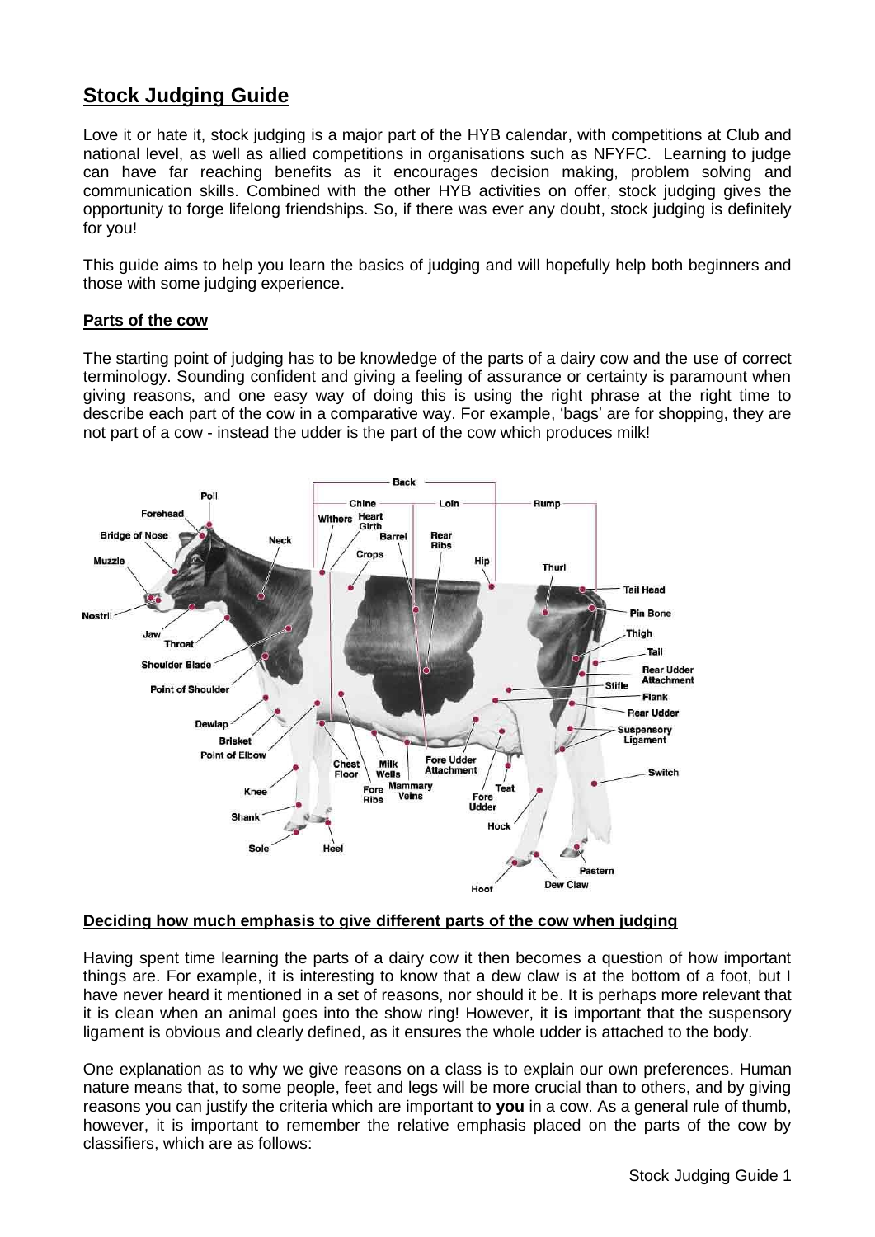# **Stock Judging Guide**

Love it or hate it, stock judging is a major part of the HYB calendar, with competitions at Club and national level, as well as allied competitions in organisations such as NFYFC. Learning to judge can have far reaching benefits as it encourages decision making, problem solving and communication skills. Combined with the other HYB activities on offer, stock judging gives the opportunity to forge lifelong friendships. So, if there was ever any doubt, stock judging is definitely for you!

This guide aims to help you learn the basics of judging and will hopefully help both beginners and those with some judging experience.

## **Parts of the cow**

The starting point of judging has to be knowledge of the parts of a dairy cow and the use of correct terminology. Sounding confident and giving a feeling of assurance or certainty is paramount when giving reasons, and one easy way of doing this is using the right phrase at the right time to describe each part of the cow in a comparative way. For example, 'bags' are for shopping, they are not part of a cow - instead the udder is the part of the cow which produces milk!



## **Deciding how much emphasis to give different parts of the cow when judging**

Having spent time learning the parts of a dairy cow it then becomes a question of how important things are. For example, it is interesting to know that a dew claw is at the bottom of a foot, but I have never heard it mentioned in a set of reasons, nor should it be. It is perhaps more relevant that it is clean when an animal goes into the show ring! However, it **is** important that the suspensory ligament is obvious and clearly defined, as it ensures the whole udder is attached to the body.

One explanation as to why we give reasons on a class is to explain our own preferences. Human nature means that, to some people, feet and legs will be more crucial than to others, and by giving reasons you can justify the criteria which are important to **you** in a cow. As a general rule of thumb, however, it is important to remember the relative emphasis placed on the parts of the cow by classifiers, which are as follows: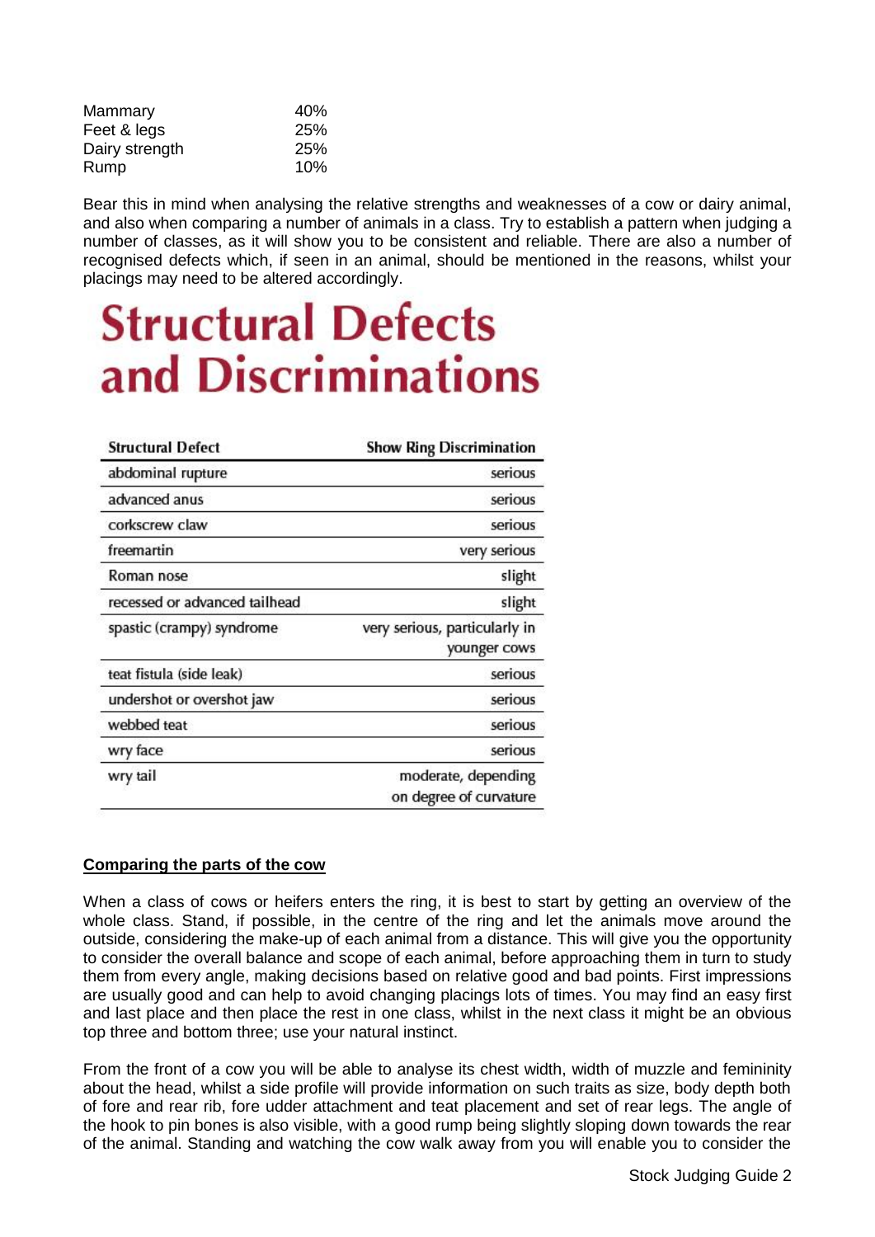| Mammary        | 40%        |
|----------------|------------|
| Feet & legs    | 25%        |
| Dairy strength | <b>25%</b> |
| Rump           | 10%        |

Bear this in mind when analysing the relative strengths and weaknesses of a cow or dairy animal, and also when comparing a number of animals in a class. Try to establish a pattern when judging a number of classes, as it will show you to be consistent and reliable. There are also a number of recognised defects which, if seen in an animal, should be mentioned in the reasons, whilst your placings may need to be altered accordingly.

# **Structural Defects** and Discriminations

| <b>Structural Defect</b>      | <b>Show Ring Discrimination</b>               |
|-------------------------------|-----------------------------------------------|
| abdominal rupture             | serious                                       |
| advanced anus                 | serious                                       |
| corkscrew claw                | serious                                       |
| freemartin                    | very serious                                  |
| Roman nose                    | slight                                        |
| recessed or advanced tailhead | slight                                        |
| spastic (crampy) syndrome     | very serious, particularly in<br>younger cows |
| teat fistula (side leak)      | serious                                       |
| undershot or overshot jaw     | serious                                       |
| webbed teat                   | serious                                       |
| wry face                      | serious                                       |
| wry tail                      | moderate, depending<br>on degree of curvature |
|                               |                                               |

## **Comparing the parts of the cow**

When a class of cows or heifers enters the ring, it is best to start by getting an overview of the whole class. Stand, if possible, in the centre of the ring and let the animals move around the outside, considering the make-up of each animal from a distance. This will give you the opportunity to consider the overall balance and scope of each animal, before approaching them in turn to study them from every angle, making decisions based on relative good and bad points. First impressions are usually good and can help to avoid changing placings lots of times. You may find an easy first and last place and then place the rest in one class, whilst in the next class it might be an obvious top three and bottom three; use your natural instinct.

From the front of a cow you will be able to analyse its chest width, width of muzzle and femininity about the head, whilst a side profile will provide information on such traits as size, body depth both of fore and rear rib, fore udder attachment and teat placement and set of rear legs. The angle of the hook to pin bones is also visible, with a good rump being slightly sloping down towards the rear of the animal. Standing and watching the cow walk away from you will enable you to consider the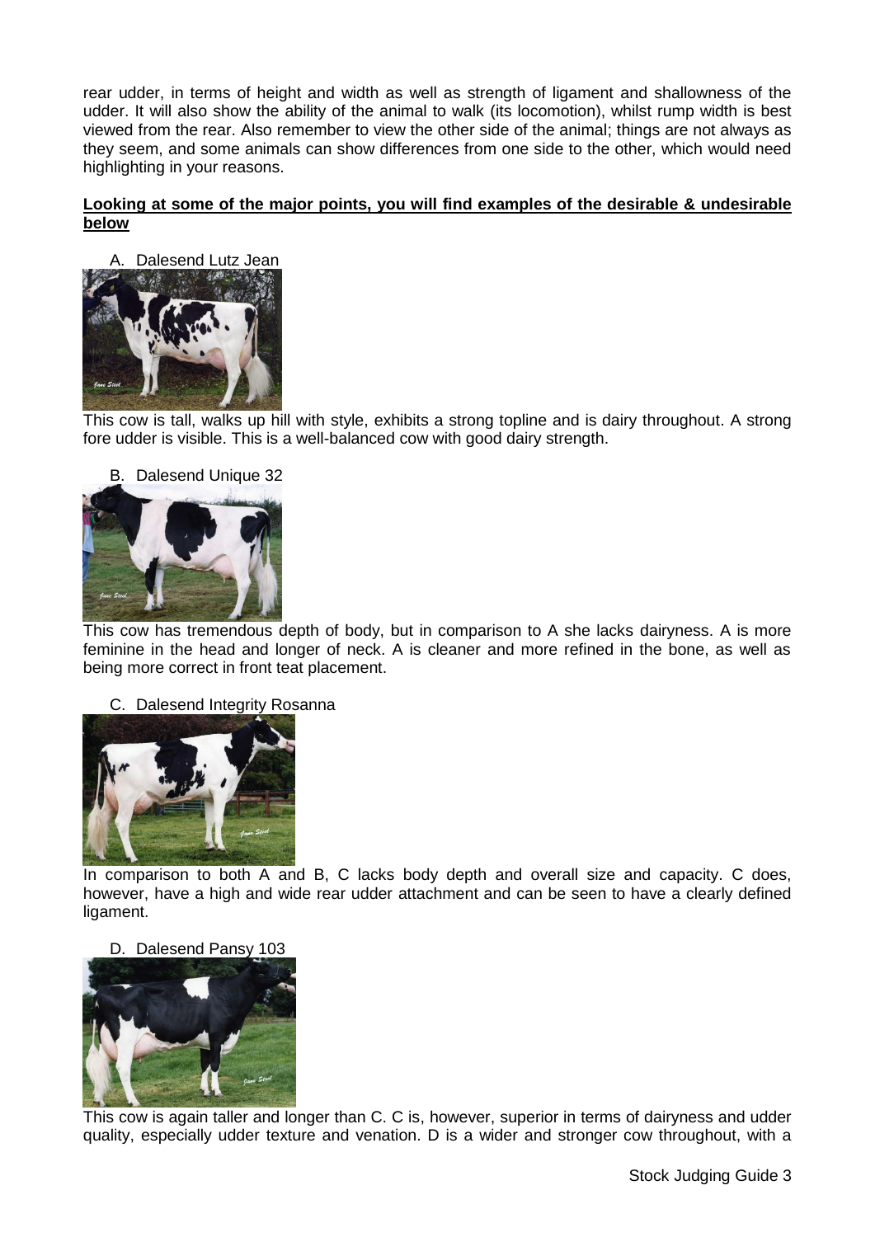rear udder, in terms of height and width as well as strength of ligament and shallowness of the udder. It will also show the ability of the animal to walk (its locomotion), whilst rump width is best viewed from the rear. Also remember to view the other side of the animal; things are not always as they seem, and some animals can show differences from one side to the other, which would need highlighting in your reasons.

## **Looking at some of the major points, you will find examples of the desirable & undesirable below**



This cow is tall, walks up hill with style, exhibits a strong topline and is dairy throughout. A strong fore udder is visible. This is a well-balanced cow with good dairy strength.

# B. Dalesend Unique 32



This cow has tremendous depth of body, but in comparison to A she lacks dairyness. A is more feminine in the head and longer of neck. A is cleaner and more refined in the bone, as well as being more correct in front teat placement.

C. Dalesend Integrity Rosanna



In comparison to both A and B, C lacks body depth and overall size and capacity. C does, however, have a high and wide rear udder attachment and can be seen to have a clearly defined ligament.

## D. Dalesend Pansy 103



This cow is again taller and longer than C. C is, however, superior in terms of dairyness and udder quality, especially udder texture and venation. D is a wider and stronger cow throughout, with a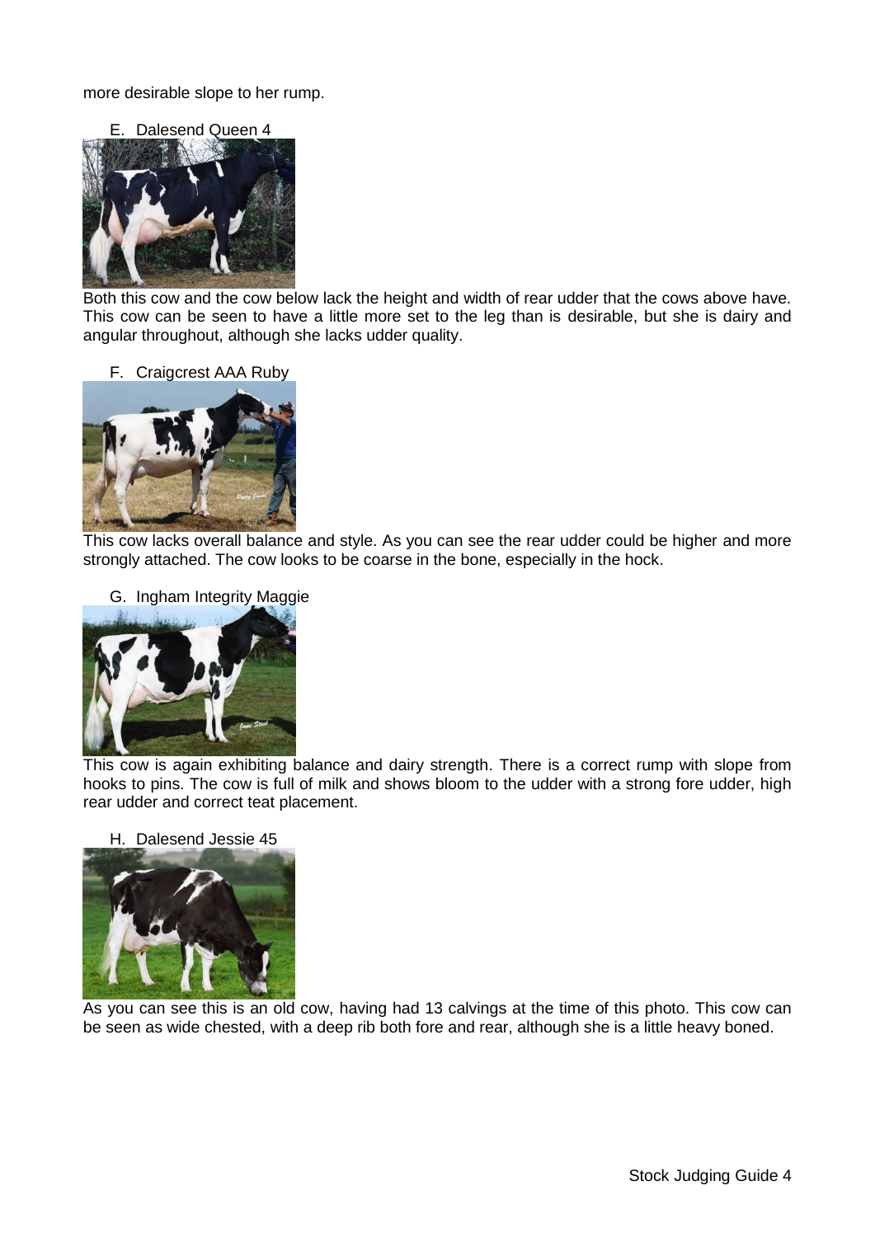more desirable slope to her rump.

E. Dalesend Queen 4



Both this cow and the cow below lack the height and width of rear udder that the cows above have. This cow can be seen to have a little more set to the leg than is desirable, but she is dairy and angular throughout, although she lacks udder quality.

F. Craigcrest AAA Ruby



This cow lacks overall balance and style. As you can see the rear udder could be higher and more strongly attached. The cow looks to be coarse in the bone, especially in the hock.





This cow is again exhibiting balance and dairy strength. There is a correct rump with slope from hooks to pins. The cow is full of milk and shows bloom to the udder with a strong fore udder, high rear udder and correct teat placement.

H. Dalesend Jessie 45



As you can see this is an old cow, having had 13 calvings at the time of this photo. This cow can be seen as wide chested, with a deep rib both fore and rear, although she is a little heavy boned.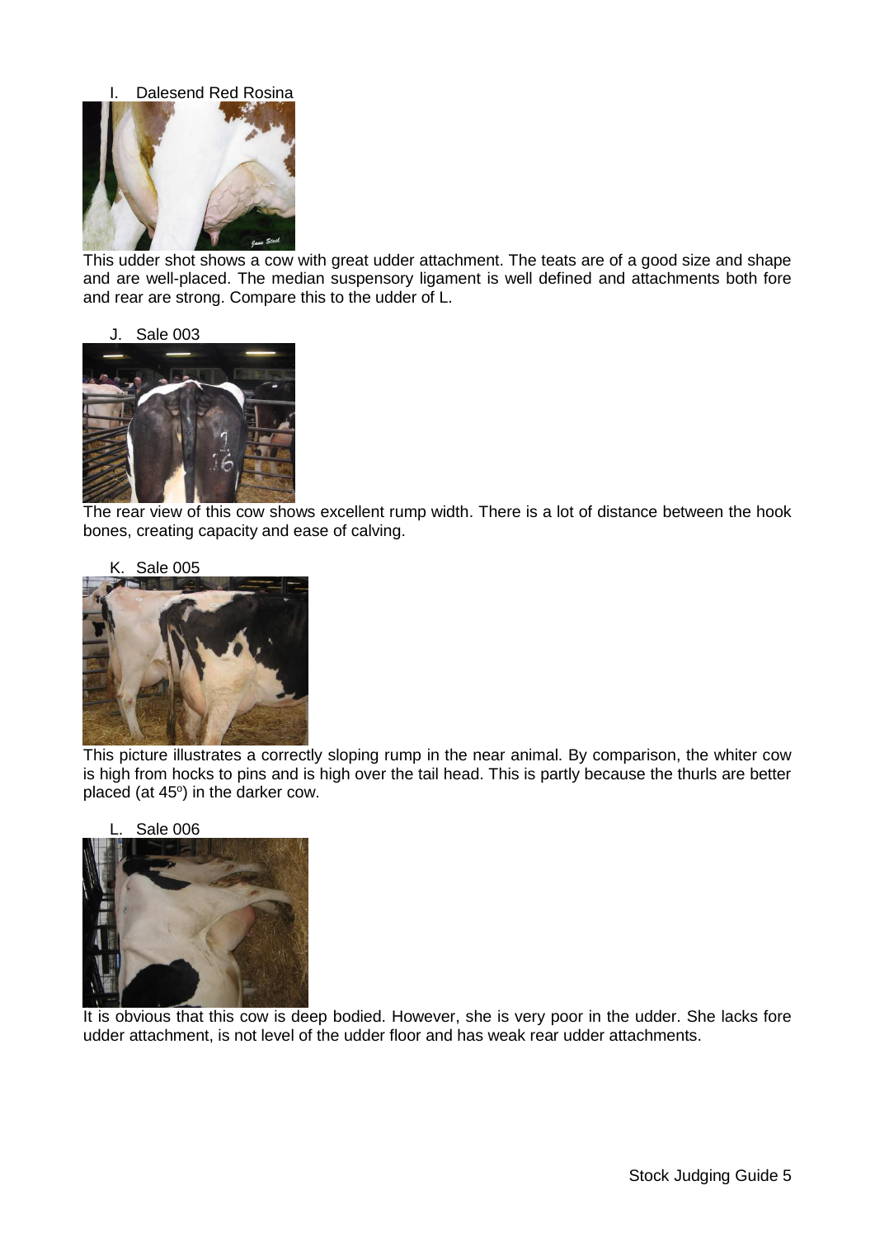

This udder shot shows a cow with great udder attachment. The teats are of a good size and shape and are well-placed. The median suspensory ligament is well defined and attachments both fore and rear are strong. Compare this to the udder of L.

#### J. Sale 003



The rear view of this cow shows excellent rump width. There is a lot of distance between the hook bones, creating capacity and ease of calving.



This picture illustrates a correctly sloping rump in the near animal. By comparison, the whiter cow is high from hocks to pins and is high over the tail head. This is partly because the thurls are better placed (at  $45^\circ$ ) in the darker cow.



It is obvious that this cow is deep bodied. However, she is very poor in the udder. She lacks fore udder attachment, is not level of the udder floor and has weak rear udder attachments.

## Stock Judging Guide 5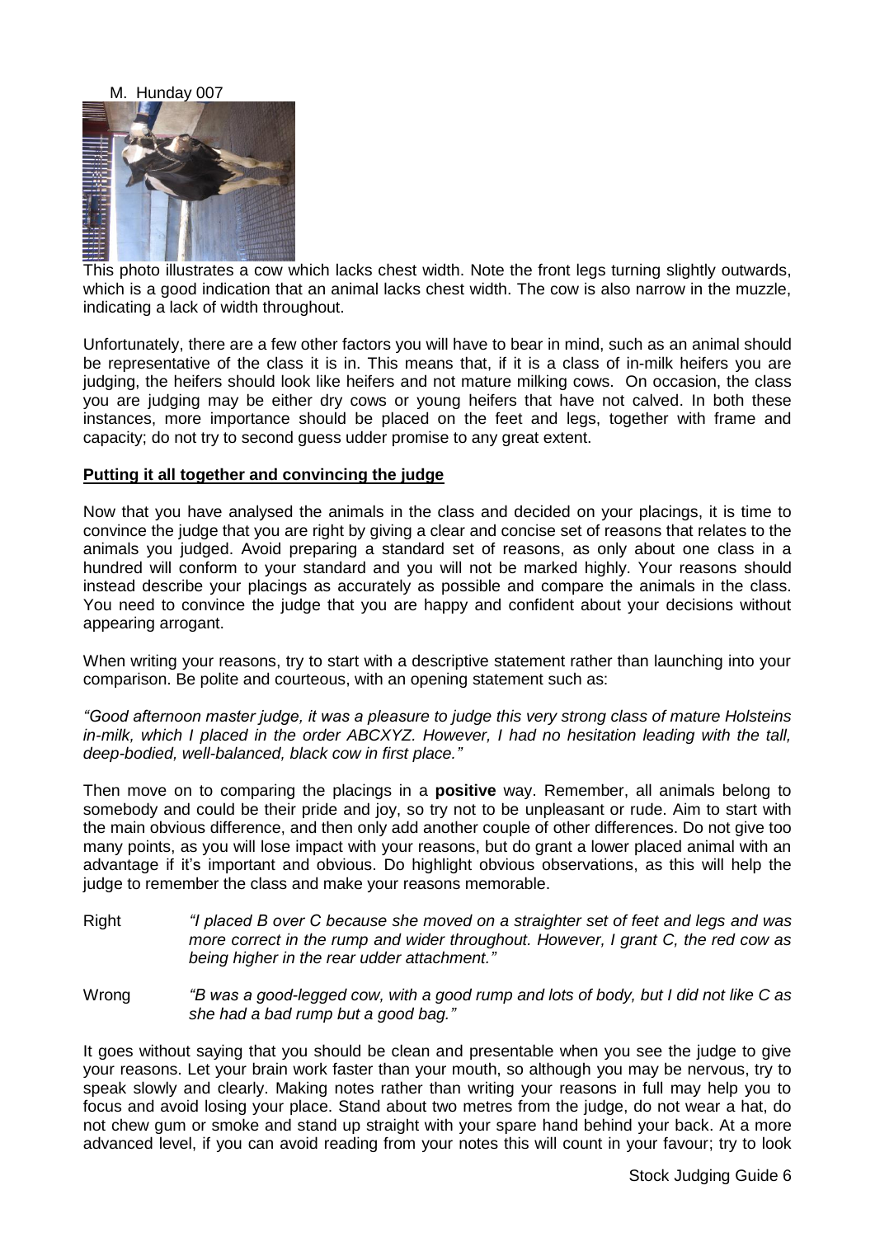#### M. Hunday 007



This photo illustrates a cow which lacks chest width. Note the front legs turning slightly outwards, which is a good indication that an animal lacks chest width. The cow is also narrow in the muzzle, indicating a lack of width throughout.

Unfortunately, there are a few other factors you will have to bear in mind, such as an animal should be representative of the class it is in. This means that, if it is a class of in-milk heifers you are judging, the heifers should look like heifers and not mature milking cows. On occasion, the class you are judging may be either dry cows or young heifers that have not calved. In both these instances, more importance should be placed on the feet and legs, together with frame and capacity; do not try to second guess udder promise to any great extent.

#### **Putting it all together and convincing the judge**

Now that you have analysed the animals in the class and decided on your placings, it is time to convince the judge that you are right by giving a clear and concise set of reasons that relates to the animals you judged. Avoid preparing a standard set of reasons, as only about one class in a hundred will conform to your standard and you will not be marked highly. Your reasons should instead describe your placings as accurately as possible and compare the animals in the class. You need to convince the judge that you are happy and confident about your decisions without appearing arrogant.

When writing your reasons, try to start with a descriptive statement rather than launching into your comparison. Be polite and courteous, with an opening statement such as:

*"Good afternoon master judge, it was a pleasure to judge this very strong class of mature Holsteins in-milk, which I placed in the order ABCXYZ. However, I had no hesitation leading with the tall, deep-bodied, well-balanced, black cow in first place."*

Then move on to comparing the placings in a **positive** way. Remember, all animals belong to somebody and could be their pride and joy, so try not to be unpleasant or rude. Aim to start with the main obvious difference, and then only add another couple of other differences. Do not give too many points, as you will lose impact with your reasons, but do grant a lower placed animal with an advantage if it's important and obvious. Do highlight obvious observations, as this will help the judge to remember the class and make your reasons memorable.

- Right *"I placed B over C because she moved on a straighter set of feet and legs and was more correct in the rump and wider throughout. However, I grant C, the red cow as being higher in the rear udder attachment."*
- Wrong *"B was a good-legged cow, with a good rump and lots of body, but I did not like C as she had a bad rump but a good bag."*

It goes without saying that you should be clean and presentable when you see the judge to give your reasons. Let your brain work faster than your mouth, so although you may be nervous, try to speak slowly and clearly. Making notes rather than writing your reasons in full may help you to focus and avoid losing your place. Stand about two metres from the judge, do not wear a hat, do not chew gum or smoke and stand up straight with your spare hand behind your back. At a more advanced level, if you can avoid reading from your notes this will count in your favour; try to look